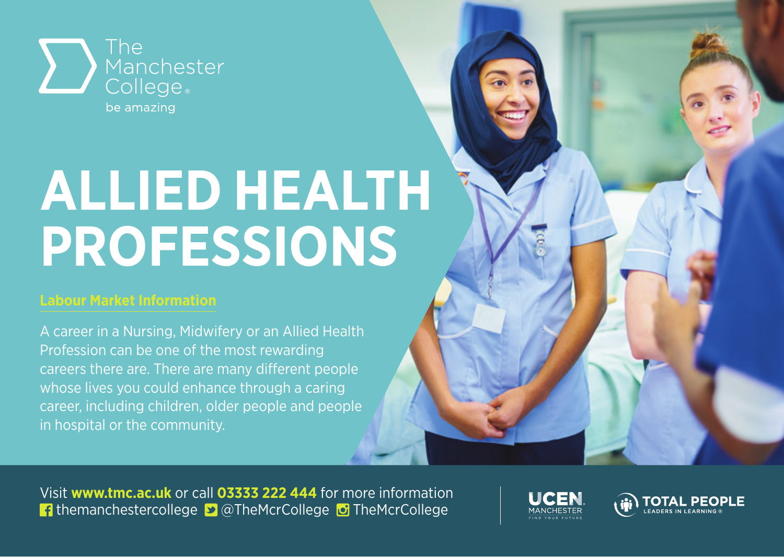

## **ALLIED HEALTH PROFESSIONS**

## **Labour Market Information**

A career in a Nursing, Midwifery or an Allied Health Profession can be one of the most rewarding careers there are. There are many different people whose lives you could enhance through a caring career, including children, older people and people in hospital or the community.

Visit **www.tmc.ac.uk** or call **03333 222 444** for more information **f** themanchestercollege **D** @TheMcrCollege **D** TheMcrCollege